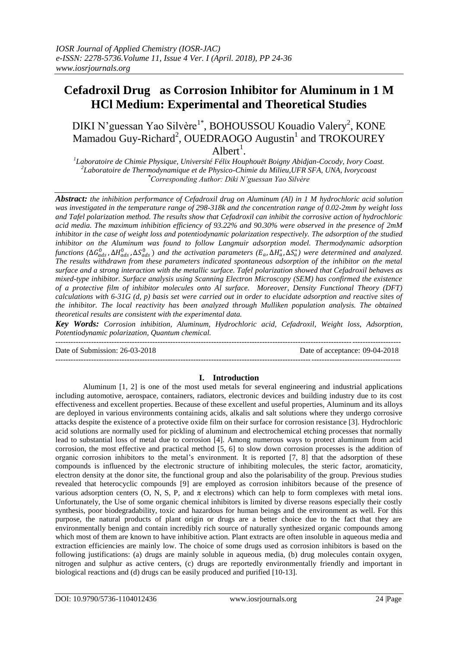# **Cefadroxil Drug as Corrosion Inhibitor for Aluminum in 1 M HCl Medium: Experimental and Theoretical Studies**

DIKI N'guessan Yao Silvère<sup>1\*</sup>, BOHOUSSOU Kouadio Valery<sup>2</sup>, KONE Mamadou Guy-Richard<sup>2</sup>, OUEDRAOGO Augustin<sup>1</sup> and TROKOUREY  $Albert<sup>1</sup>$ .

*1 Laboratoire de Chimie Physique, Université Félix Houphouët Boigny Abidjan-Cocody, Ivory Coast. 2 Laboratoire de Thermodynamique et de Physico-Chimie du Milieu,UFR SFA, UNA, Ivorycoast \*Corresponding Author: Diki N'guessan Yao Silvère*

*Abstract: the inhibition performance of Cefadroxil drug on Aluminum (Al) in 1 M hydrochloric acid solution was investigated in the temperature range of 298-318k and the concentration range of 0.02-2mm by weight loss and Tafel polarization method. The results show that Cefadroxil can inhibit the corrosive action of hydrochloric acid media. The maximum inhibition efficiency of 93.22% and 90.30% were observed in the presence of 2mM inhibitor in the case of weight loss and potentiodynamic polarization respectively. The adsorption of the studied inhibitor on the Aluminum was found to follow Langmuir adsorption model. Thermodynamic adsorption*   $f$ unctions ( $\Delta G_{ads}^0$ ,  $\Delta H_{ads}^0$ ,  $\Delta S_{ads}^0$ ) and the activation parameters ( $E_a$ ,  $\Delta H_a^*$ ,  $\Delta S_a^*$ ) were determined and analyzed. *The results withdrawn from these parameters indicated spontaneous adsorption of the inhibitor on the metal surface and a strong interaction with the metallic surface. Tafel polarization showed that Cefadroxil behaves as mixed-type inhibitor. Surface analysis using Scanning Electron Microscopy (SEM) has confirmed the existence of a protective film of inhibitor molecules onto Al surface. Moreover, Density Functional Theory (DFT) calculations with 6-31G (d, p) basis set were carried out in order to elucidate adsorption and reactive sites of the inhibitor. The local reactivity has been analyzed through Mulliken population analysis. The obtained theoretical results are consistent with the experimental data.*

*Key Words: Corrosion inhibition, Aluminum, Hydrochloric acid, Cefadroxil, Weight loss, Adsorption, Potentiodynamic polarization, Quantum chemical.*

---------------------------------------------------------------------------------------------------------------------------------------

Date of Submission: 26-03-2018 Date of acceptance: 09-04-2018

---------------------------------------------------------------------------------------------------------------------------------------

# **I. Introduction**

Aluminum [\[1,](#page-11-0) [2\]](#page-11-1) is one of the most used metals for several engineering and industrial applications including automotive, aerospace, containers, radiators, electronic devices and building industry due to its cost effectiveness and excellent properties. Because of these excellent and useful properties, Aluminum and its alloys are deployed in various environments containing acids, alkalis and salt solutions where they undergo corrosive attacks despite the existence of a protective oxide film on their surface for corrosion resistance [\[3\]](#page-11-2). Hydrochloric acid solutions are normally used for pickling of aluminum and electrochemical etching processes that normally lead to substantial loss of metal due to corrosion [\[4\]](#page-11-3). Among numerous ways to protect aluminum from acid corrosion, the most effective and practical method [\[5,](#page-11-4) [6\]](#page-11-5) to slow down corrosion processes is the addition of organic corrosion inhibitors to the metal's environment. It is reported [\[7,](#page-11-6) [8\]](#page-11-7) that the adsorption of these compounds is influenced by the electronic structure of inhibiting molecules, the steric factor, aromaticity, electron density at the donor site, the functional group and also the polarisability of the group. Previous studies revealed that heterocyclic compounds [\[9\]](#page-11-8) are employed as corrosion inhibitors because of the presence of various adsorption centers (O, N, S, P, and π electrons) which can help to form complexes with metal ions. Unfortunately, the Use of some organic chemical inhibitors is limited by diverse reasons especially their costly synthesis, poor biodegradability, toxic and hazardous for human beings and the environment as well. For this purpose, the natural products of plant origin or drugs are a better choice due to the fact that they are environmentally benign and contain incredibly rich source of naturally synthesized organic compounds among which most of them are known to have inhibitive action. Plant extracts are often insoluble in aqueous media and extraction efficiencies are mainly low. The choice of some drugs used as corrosion inhibitors is based on the following justifications: (a) drugs are mainly soluble in aqueous media, (b) drug molecules contain oxygen, nitrogen and sulphur as active centers, (c) drugs are reportedly environmentally friendly and important in biological reactions and (d) drugs can be easily produced and purified [\[10-13\]](#page-11-9).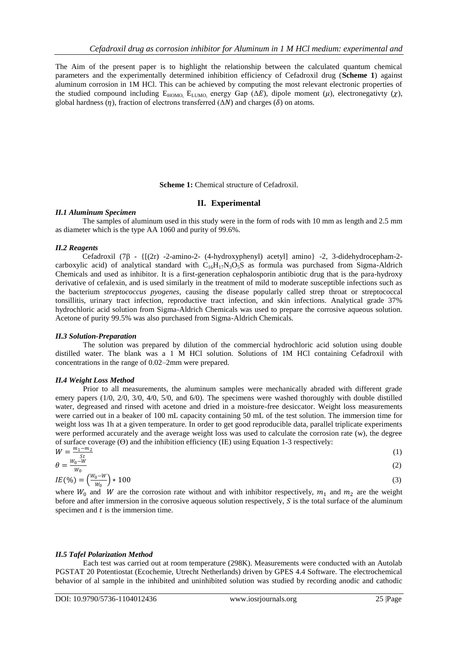The Aim of the present paper is to highlight the relationship between the calculated quantum chemical parameters and the experimentally determined inhibition efficiency of Cefadroxil drug (**Scheme 1**) against aluminum corrosion in 1M HCl. This can be achieved by computing the most relevant electronic properties of the studied compound including  $E_{HOMO}$ ,  $E_{LUMO}$ , energy Gap ( $\Delta E$ ), dipole moment ( $\mu$ ), electronegativty ( $\chi$ ), global hardness ( $\eta$ ), fraction of electrons transferred ( $\Delta N$ ) and charges ( $\delta$ ) on atoms.

**Scheme 1:** Chemical structure of Cefadroxil.

# **II. Experimental**

## *II.1 Aluminum Specimen*

The samples of aluminum used in this study were in the form of rods with 10 mm as length and 2.5 mm as diameter which is the type AA 1060 and purity of 99.6%.

# *II.2 Reagents*

Cefadroxil (7β - {[(2r) -2-amino-2- (4-hydroxyphenyl) acetyl] amino} -2, 3-didehydrocepham-2 carboxylic acid) of analytical standard with  $C_{16}H_{17}N_3O_5S$  as formula was purchased from Sigma-Aldrich Chemicals and used as inhibitor. It is a first-generation cephalosporin antibiotic drug that is the para-hydroxy derivative of [cefalexin,](https://en.wikipedia.org/wiki/Cefalexin) and is used similarly in the treatment of mild to moderate susceptible infections such as the bacterium *[streptococcus pyogenes](https://en.wikipedia.org/wiki/Streptococcus_pyogenes)*, causing the disease popularly called [strep throat](https://en.wikipedia.org/wiki/Strep_throat) or [streptococcal](https://en.wikipedia.org/wiki/Streptococcal_tonsillitis)  [tonsillitis,](https://en.wikipedia.org/wiki/Streptococcal_tonsillitis) [urinary tract infection,](https://en.wikipedia.org/wiki/Urinary_tract_infection) [reproductive tract infection,](https://en.wikipedia.org/wiki/Reproductive_tract_infection) and [skin infections.](https://en.wikipedia.org/wiki/Skin_infections) Analytical grade 37% hydrochloric acid solution from Sigma-Aldrich Chemicals was used to prepare the corrosive aqueous solution. Acetone of purity 99.5% was also purchased from Sigma-Aldrich Chemicals.

#### *II.3 Solution-Preparation*

The solution was prepared by dilution of the commercial hydrochloric acid solution using double distilled water. The blank was a 1 M HCl solution. Solutions of 1M HCl containing Cefadroxil with concentrations in the range of 0.02–2mm were prepared.

# *II.4 Weight Loss Method*

Prior to all measurements, the aluminum samples were mechanically abraded with different grade emery papers (1/0, 2/0, 3/0, 4/0, 5/0, and 6/0). The specimens were washed thoroughly with double distilled water, degreased and rinsed with acetone and dried in a moisture-free desiccator. Weight loss measurements were carried out in a beaker of 100 mL capacity containing 50 mL of the test solution. The immersion time for weight loss was 1h at a given temperature. In order to get good reproducible data, parallel triplicate experiments were performed accurately and the average weight loss was used to calculate the corrosion rate (w), the degree of surface coverage  $(\Theta)$  and the inhibition efficiency (IE) using Equation 1-3 respectively:  $TAT$  $m_1-m_2$ 

$$
W = \frac{m_1 - m_2}{s_t}
$$
  
\n
$$
\theta = \frac{W_0 - W}{W_0}
$$
 (1)

$$
IE(\%) = \left(\frac{w_0 - w}{w_0}\right) * 100\tag{3}
$$

where  $W_0$  and W are the corrosion rate without and with inhibitor respectively,  $m_1$  and  $m_2$  are the weight before and after immersion in the corrosive aqueous solution respectively,  $S$  is the total surface of the aluminum specimen and  $t$  is the immersion time.

# *II.5 Tafel Polarization Method*

Each test was carried out at room temperature (298K). Measurements were conducted with an Autolab PGSTAT 20 Potentiostat (Ecochemie, Utrecht Netherlands) driven by GPES 4.4 Software. The electrochemical behavior of al sample in the inhibited and uninhibited solution was studied by recording anodic and cathodic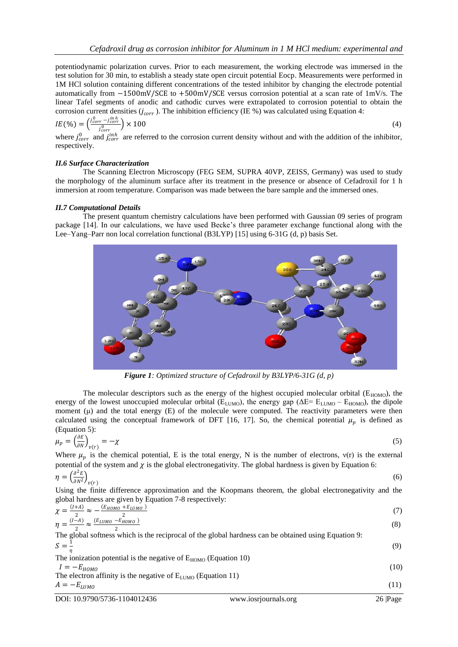potentiodynamic polarization curves. Prior to each measurement, the working electrode was immersed in the test solution for 30 min, to establish a steady state open circuit potential Eocp. Measurements were performed in 1M HCl solution containing different concentrations of the tested inhibitor by changing the electrode potential automatically from −1500mV/SCE to +500mV/SCE versus corrosion potential at a scan rate of 1mV/s. The linear Tafel segments of anodic and cathodic curves were extrapolated to corrosion potential to obtain the corrosion current densities  $(j_{corr})$ . The inhibition efficiency (IE %) was calculated using Equation 4:

$$
IE(\%) = \left(\frac{j_{corr}^{0} - j_{corr}^{inh}}{j_{corr}^{0}}\right) \times 100
$$
\nwhere  $j^0$  and  $j^{inh}$  are referred to the conversion current density without and with the addition of the inhibitor.

\n(4)

where  $j_{corr}^0$  and  $j_{corr}^{inh}$  are referred to the corrosion current density without and with the addition of the inhibitor, respectively.

## *II.6 Surface Characterization*

The Scanning Electron Microscopy (FEG SEM, SUPRA 40VP, ZEISS, Germany) was used to study the morphology of the aluminum surface after its treatment in the presence or absence of Cefadroxil for 1 h immersion at room temperature. Comparison was made between the bare sample and the immersed ones.

## *II.7 Computational Details*

The present quantum chemistry calculations have been performed with Gaussian 09 series of program package [\[14\]](#page-11-10). In our calculations, we have used Becke's three parameter exchange functional along with the Lee–Yang–Parr non local correlation functional (B3LYP) [\[15\]](#page-11-11) using 6-31G (d, p) basis Set.



*Figure 1: Optimized structure of Cefadroxil by B3LYP/6-31G (d, p)*

The molecular descriptors such as the energy of the highest occupied molecular orbital ( $E_{HOMO}$ ), the energy of the lowest unoccupied molecular orbital ( $E_{LUMO}$ ), the energy gap ( $\Delta E = E_{LUMO} - E_{HOMO}$ ), the dipole moment  $(\mu)$  and the total energy  $(E)$  of the molecule were computed. The reactivity parameters were then calculated using the conceptual framework of DFT [\[16,](#page-11-12) [17\]](#page-11-13). So, the chemical potential  $\mu_p$  is defined as (Equation 5):

$$
\mu_p = \left(\frac{\partial E}{\partial N}\right)_{\nu(r)} = -\chi \tag{5}
$$

Where  $\mu_p$  is the chemical potential, E is the total energy, N is the number of electrons,  $v(r)$  is the external potential of the system and  $\chi$  is the global electronegativity. The global hardness is given by Equation 6:

$$
\eta = \left(\frac{\partial^2 E}{\partial N^2}\right)_{\nu(r)}\tag{6}
$$

Using the finite difference approximation and the Koopmans theorem, the global electronegativity and the global hardness are given by Equation 7-8 respectively:

$$
\chi = \frac{(I+A)}{2} \approx -\frac{(E_{HOMO} + E_{LUMO})}{2}
$$
\n
$$
\eta = \frac{(I-A)}{2} \approx \frac{(E_{LUMO} - E_{HOMO})}{2}
$$
\n(8)

<sup>1</sup><br>The global softness which is the reciprocal of the global hardness can be obtained using Equation 9:  $S=\frac{1}{a}$ η (9)

The ionization potential is the negative of  $E_{HOMO}$  (Equation 10)  $I = -E_{HOMO}$  (10) The electron affinity is the negative of  $E_{LUMO}$  (Equation 11)  $A = -E_{LUMO}$  (11)

DOI: 10.9790/5736-1104012436 www.iosrjournals.org 26 |Page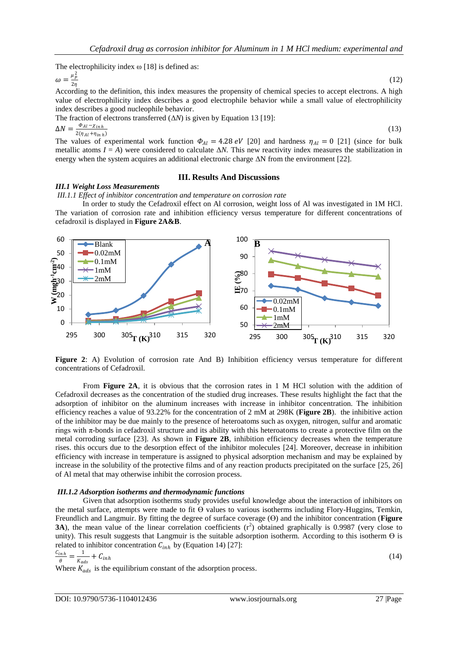The electrophilicity index  $\omega$  [\[18\]](#page-11-14) is defined as:

$$
\omega = \frac{\mu_p^2}{2\eta}
$$

 $(12)$ 

According to the definition, this index measures the propensity of chemical species to accept electrons. A high value of electrophilicity index describes a good electrophile behavior while a small value of electrophilicity index describes a good nucleophile behavior.

The fraction of electrons transferred (Δ*N*) is given by Equation 13 [\[19\]](#page-11-15):

$$
\Delta N = \frac{\Phi_{Al} - \chi_{inh}}{2(\eta_{Al} + \eta_{inh})}
$$

 $(13)$ 

The values of experimental work function  $\Phi_{Al} = 4.28 \text{ eV}$  [\[20\]](#page-11-16) and hardness  $\eta_{Al} = 0$  [\[21\]](#page-11-17) (since for bulk metallic atoms  $I = A$ ) were considered to calculate  $\Delta N$ . This new reactivity index measures the stabilization in energy when the system acquires an additional electronic charge  $\Delta N$  from the environment [\[22\]](#page-11-18).

## **III. Results And Discussions**

## *III.1 Weight Loss Measurements*

*III.1.1 Effect of inhibitor concentration and temperature on corrosion rate*

In order to study the Cefadroxil effect on Al corrosion, weight loss of Al was investigated in 1M HCl. The variation of corrosion rate and inhibition efficiency versus temperature for different concentrations of cefadroxil is displayed in **Figure 2A&B**.



**Figure 2**: A) Evolution of corrosion rate And B) Inhibition efficiency versus temperature for different concentrations of Cefadroxil.

From **Figure 2A**, it is obvious that the corrosion rates in 1 M HCl solution with the addition of Cefadroxil decreases as the concentration of the studied drug increases. These results highlight the fact that the adsorption of inhibitor on the aluminum increases with increase in inhibitor concentration. The inhibition efficiency reaches a value of 93.22% for the concentration of 2 mM at 298K (**Figure 2B**). the inhibitive action of the inhibitor may be due mainly to the presence of heteroatoms such as oxygen, nitrogen, sulfur and aromatic rings with π-bonds in cefadroxil structure and its ability with this heteroatoms to create a protective film on the metal corroding surface [\[23\]](#page-11-19). As shown in **Figure 2B**, inhibition efficiency decreases when the temperature rises. this occurs due to the desorption effect of the inhibitor molecules [\[24\]](#page-11-20). Moreover, decrease in inhibition efficiency with increase in temperature is assigned to physical adsorption mechanism and may be explained by increase in the solubility of the protective films and of any reaction products precipitated on the surface [\[25,](#page-11-21) [26\]](#page-11-22) of Al metal that may otherwise inhibit the corrosion process.

#### *III.1.2 Adsorption isotherms and thermodynamic functions*

Given that adsorption isotherms study provides useful knowledge about the interaction of inhibitors on the metal surface, attempts were made to fit ϴ values to various isotherms including Flory-Huggins, Temkin, Freundlich and Langmuir. By fitting the degree of surface coverage (ϴ) and the inhibitor concentration (**Figure 3A**), the mean value of the linear correlation coefficients  $(r^2)$  obtained graphically is 0.9987 (very close to unity). This result suggests that Langmuir is the suitable adsorption isotherm. According to this isotherm  $\Theta$  is related to inhibitor concentration  $C_{inh}$  by (Equation 14) [\[27\]](#page-11-23):

$$
\frac{c_{inh}}{\theta} = \frac{1}{K_{ads}} + C_{inh} \tag{14}
$$

Where  $K_{ads}$  is the equilibrium constant of the adsorption process.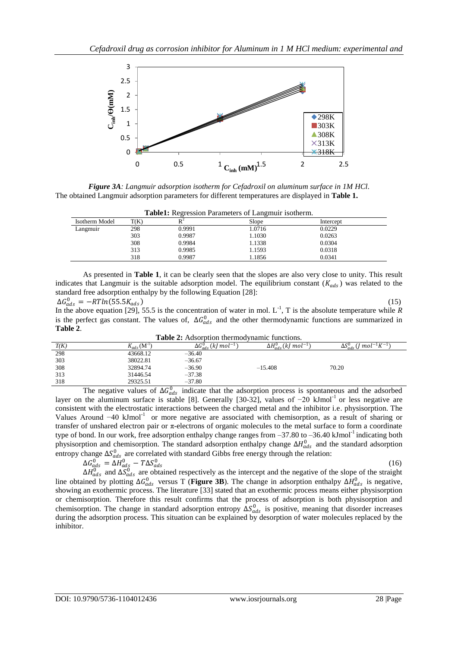

*Figure 3A: Langmuir adsorption isotherm for Cefadroxil on aluminum surface in 1M HCl*. The obtained Langmuir adsorption parameters for different temperatures are displayed in **Table 1.**

|                |      |                | Tublet, Regional I didinettis of Edingman Roomerini |           |  |
|----------------|------|----------------|-----------------------------------------------------|-----------|--|
| Isotherm Model | T(K) | D <sup>2</sup> | Slope                                               | Intercept |  |
| Langmuir       | 298  | 0.9991         | 1.0716                                              | 0.0229    |  |
|                | 303  | 0.9987         | 1.030                                               | 0.0263    |  |
|                | 308  | 0.9984         | 1.1338                                              | 0.0304    |  |
|                | 313  | 0.9985         | 1.1593                                              | 0.0318    |  |
|                | 318  | 0.9987         | . 1856                                              | 0.0341    |  |
|                |      |                |                                                     |           |  |

As presented in **Table 1**, it can be clearly seen that the slopes are also very close to unity. This result indicates that Langmuir is the suitable adsorption model. The equilibrium constant  $(K_{ads})$  was related to the standard free adsorption enthalpy by the following Equation [\[28\]](#page-11-24):  $(15)$ 

$$
\Delta G_{ads}^0 = -RTln(55.5K_{ads})
$$

In the above equation [\[29\]](#page-11-25), 55.5 is the concentration of water in mol.  $L^{-1}$ , T is the absolute temperature while *R* is the perfect gas constant. The values of,  $\Delta G_{ads}^0$  and the other thermodynamic functions are summarized in **Table 2**.

| <b>Table 2:</b> Adsorption thermodynamic functions. |
|-----------------------------------------------------|
|-----------------------------------------------------|

| T(K) | $\frac{1}{4}$ ads $(M^{-1})$ | $\Delta G_{ads}^{0}$ (kJ mol <sup>-1</sup> ) | $\Delta H_{ads}^{0}$ (kJ mol <sup>-1</sup> ) | $\Delta S^{0}_{ads} (J\ mol^{-1} K^{-1})$ |
|------|------------------------------|----------------------------------------------|----------------------------------------------|-------------------------------------------|
| 298  | 43668.12                     | $-36.40$                                     |                                              |                                           |
| 303  | 38022.81                     | $-36.67$                                     |                                              |                                           |
| 308  | 32894.74                     | $-36.90$                                     | $-15.408$                                    | 70.20                                     |
| 313  | 31446.54                     | $-37.38$                                     |                                              |                                           |
| 318  | 29325.51                     | $-37.80$                                     |                                              |                                           |
|      |                              | $\sim$                                       |                                              |                                           |

The negative values of  $\Delta G_{ads}^0$  indicate that the adsorption process is spontaneous and the adsorbed layer on the aluminum surface is stable [\[8\]](#page-11-7). Generally [\[30-32\]](#page-11-26), values of -20 kJmol<sup>-1</sup> or less negative are consistent with the electrostatic interactions between the charged metal and the inhibitor i.e. physisorption. The Values Around -40 kJmol<sup>-1</sup> or more negative are associated with chemisorption, as a result of sharing or transfer of unshared electron pair or π-electrons of organic molecules to the metal surface to form a coordinate type of bond. In our work, free adsorption enthalpy change ranges from  $-37.80$  to  $-36.40$  kJmol<sup>-1</sup> indicating both physisorption and chemisorption. The standard adsorption enthalpy change  $\Delta H_{ads}^0$  and the standard adsorption entropy change  $\Delta S_{ads}^0$  are correlated with standard Gibbs free energy through the relation:

$$
\Delta G_{ads}^0 = \Delta H_{ads}^0 - T \Delta S_{ads}^0
$$

(16)

 $\Delta H_{ads}^0$  and  $\Delta S_{ads}^0$  are obtained respectively as the intercept and the negative of the slope of the straight line obtained by plotting  $\Delta G_{ads}^0$  versus T (**Figure 3B**). The change in adsorption enthalpy  $\Delta H_{ads}^0$  is negative, showing an exothermic process. The literature [\[33\]](#page-11-27) stated that an exothermic process means either physisorption or chemisorption. Therefore this result confirms that the process of adsorption is both physisorption and chemisorption. The change in standard adsorption entropy  $\Delta S_{ads}^0$  is positive, meaning that disorder increases during the adsorption process. This situation can be explained by desorption of water molecules replaced by the inhibitor.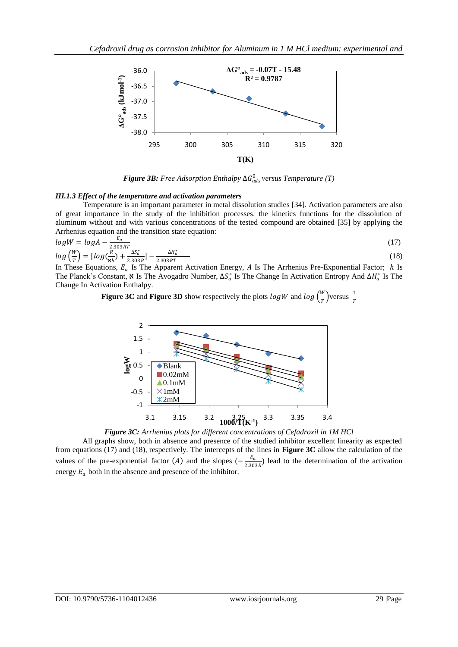

*Figure 3B: Free Adsorption Enthalpy* ∆ 0 *versus Temperature (T)*

#### *III.1.3 Effect of the temperature and activation parameters*

Temperature is an important parameter in metal dissolution studies [\[34\]](#page-11-28). Activation parameters are also of great importance in the study of the inhibition processes. the kinetics functions for the dissolution of aluminum without and with various concentrations of the tested compound are obtained [\[35\]](#page-12-0) by applying the Arrhenius equation and the transition state equation:

$$
log W = log A - \frac{E_a}{2.303 RT}
$$
\n
$$
log \left(\frac{W}{T}\right) = [log(\frac{R}{W}) + \frac{\Delta S_a^*}{2.303 RT}] - \frac{\Delta H_a^*}{2.303 RT}
$$
\n(18)

 $\frac{1}{2}$   $\binom{1}{r}$   $\frac{1}{2}$   $\frac{1}{8}$   $\frac{1}{8}$   $\frac{2.303R^3}{R}$  2.303RT<br>In These Equations,  $E_a$  Is The Apparent Activation Energy, A Is The Arrhenius Pre-Exponential Factor; h Is The Planck's Constant, & Is The Avogadro Number,  $\Delta S_a^*$  Is The Change In Activation Entropy And  $\Delta H_a^*$  Is The Change In Activation Enthalpy.

> **Figure 3C** and **Figure 3D** show respectively the plots  $logW$  and  $log(\frac{W}{T})$  $\frac{w}{T}$ )versus  $\frac{1}{T}$ T



# *Figure 3C: Arrhenius plots for different concentrations of Cefadroxil in 1M HCl*

All graphs show, both in absence and presence of the studied inhibitor excellent linearity as expected from equations (17) and (18), respectively. The intercepts of the lines in **Figure 3C** allow the calculation of the values of the pre-exponential factor (A) and the slopes  $\left(-\frac{E_a}{2.20}$  $\frac{E_a}{2.303R}$ ) lead to the determination of the activation energy  $E_a$  both in the absence and presence of the inhibitor.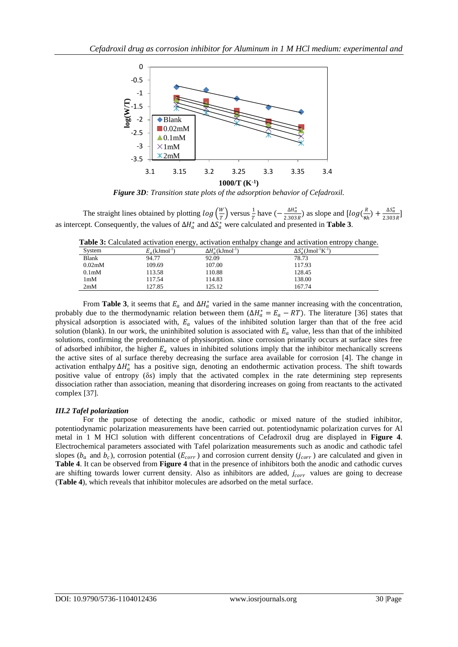

*Figure 3D: Transition state plots of the adsorption behavior of Cefadroxil.*

The straight lines obtained by plotting  $log(\frac{W}{T})$  $\frac{w}{T}$  versus  $\frac{1}{T}$  $\frac{1}{T}$  have  $\left(-\frac{\Delta H_a^*}{2.303}\right)$  $\frac{\Delta H_a^*}{2.303R}$ ) as slope and  $[log(\frac{R}{N})]$  $\frac{R}{8h}$  +  $\frac{\Delta S_a^*}{2.303}$  $\frac{\Delta g}{2.303 R}$ as intercept. Consequently, the values of  $\Delta H_a^*$  and  $\Delta S_a^*$  were calculated and presented in **Table 3**.

| Table 3: Calculated activation energy, activation enthalpy change and activation entropy change. |  |
|--------------------------------------------------------------------------------------------------|--|
|--------------------------------------------------------------------------------------------------|--|

|                     | ، ب                          |                                            |                                                      |
|---------------------|------------------------------|--------------------------------------------|------------------------------------------------------|
| System              | $E_a$ (kJmol <sup>-1</sup> ) | $\Delta H^*_{\sigma}(\mathrm{kJmol}^{-1})$ | $\Delta S^*_{\alpha}(\text{Jmol}^{-1}\text{K}^{-1})$ |
| Blank               | 94.77                        | 92.09                                      | 78.73                                                |
| 0.02 <sub>m</sub> M | 109.69                       | 107.00                                     | 117.93                                               |
| 0.1 <sub>m</sub> M  | 113.58                       | 110.88                                     | 128.45                                               |
| 1 <sub>m</sub> M    | 117.54                       | 114.83                                     | 138.00                                               |
| 2mM                 | 127.85                       | 125.12                                     | 167.74                                               |
|                     |                              |                                            |                                                      |

From **Table 3**, it seems that  $E_a$  and  $\Delta H_a^*$  varied in the same manner increasing with the concentration, probably due to the thermodynamic relation between them  $(\Delta H_a^* = E_a - RT)$ . The literature [\[36\]](#page-12-1) states that physical adsorption is associated with,  $E_a$  values of the inhibited solution larger than that of the free acid solution (blank). In our work, the uninhibited solution is associated with  $E_a$  value, less than that of the inhibited solutions, confirming the predominance of physisorption. since corrosion primarily occurs at surface sites free of adsorbed inhibitor, the higher  $E_a$  values in inhibited solutions imply that the inhibitor mechanically screens the active sites of al surface thereby decreasing the surface area available for corrosion [\[4\]](#page-11-3). The change in activation enthalpy  $\Delta H_a^*$  has a positive sign, denoting an endothermic activation process. The shift towards positive value of entropy (δ*s*) imply that the activated complex in the rate determining step represents dissociation rather than association, meaning that disordering increases on going from reactants to the activated complex [\[37\]](#page-12-2).

# *III.2 Tafel polarization*

For the purpose of detecting the anodic, cathodic or mixed nature of the studied inhibitor, potentiodynamic polarization measurements have been carried out. potentiodynamic polarization curves for Al metal in 1 M HCl solution with different concentrations of Cefadroxil drug are displayed in **Figure 4**. Electrochemical parameters associated with Tafel polarization measurements such as anodic and cathodic tafel slopes ( $b_a$  and  $b_c$ ), corrosion potential ( $E_{corr}$ ) and corrosion current density ( $j_{corr}$ ) are calculated and given in **Table 4**. It can be observed from **Figure 4** that in the presence of inhibitors both the anodic and cathodic curves are shifting towards lower current density. Also as inhibitors are added,  $j_{corr}$  values are going to decrease (**Table 4**), which reveals that inhibitor molecules are adsorbed on the metal surface.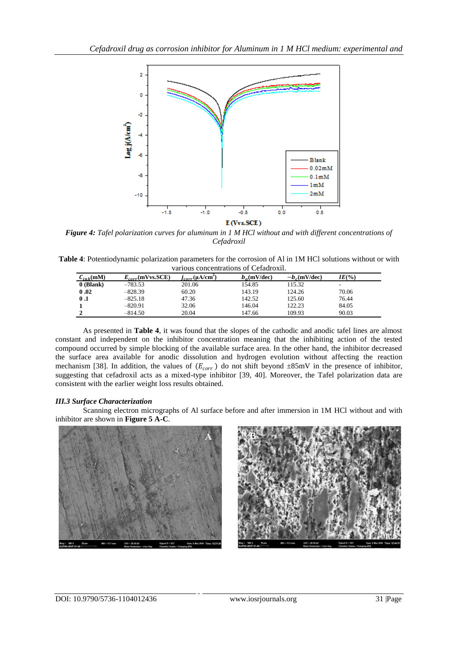

*Figure 4: Tafel polarization curves for aluminum in 1 M HCl without and with different concentrations of Cefadroxil*

| Table 4: Potentiodynamic polarization parameters for the corrosion of Al in 1M HCl solutions without or with |  |
|--------------------------------------------------------------------------------------------------------------|--|
| various concentrations of Cefadroxil.                                                                        |  |

| $C_{inh}$ (mM) | $E_{corr}$ (mVvs.SCE) | $j_{corr}(\mu A/cm^2)$ | $b_a$ (mV/dec) | $-b_c$ (mV/dec) | $IE(\% )$ |  |
|----------------|-----------------------|------------------------|----------------|-----------------|-----------|--|
| 0 (Blank)      | $-783.53$             | 201.06                 | 154.85         | 115.32          |           |  |
| 0.02           | $-828.39$             | 60.20                  | 143.19         | 124.26          | 70.06     |  |
| $\bf{0.1}$     | $-825.18$             | 47.36                  | 142.52         | 125.60          | 76.44     |  |
|                | $-820.91$             | 32.06                  | 146.04         | 122.23          | 84.05     |  |
|                | $-814.50$             | 20.04                  | 147.66         | 109.93          | 90.03     |  |

As presented in **Table 4**, it was found that the slopes of the cathodic and anodic tafel lines are almost constant and independent on the inhibitor concentration meaning that the inhibiting action of the tested compound occurred by simple blocking of the available surface area. In the other hand, the inhibitor decreased the surface area available for anodic dissolution and hydrogen evolution without affecting the reaction mechanism [\[38\]](#page-12-3). In addition, the values of  $(E_{corr})$  do not shift beyond  $\pm 85$ mV in the presence of inhibitor, suggesting that cefadroxil acts as a mixed-type inhibitor [\[39,](#page-12-4) [40\]](#page-12-5). Moreover, the Tafel polarization data are consistent with the earlier weight loss results obtained.

# *III.3 Surface Characterization*

Scanning electron micrographs of Al surface before and after immersion in 1M HCl without and with inhibitor are shown in **Figure 5 A-C**.



**A**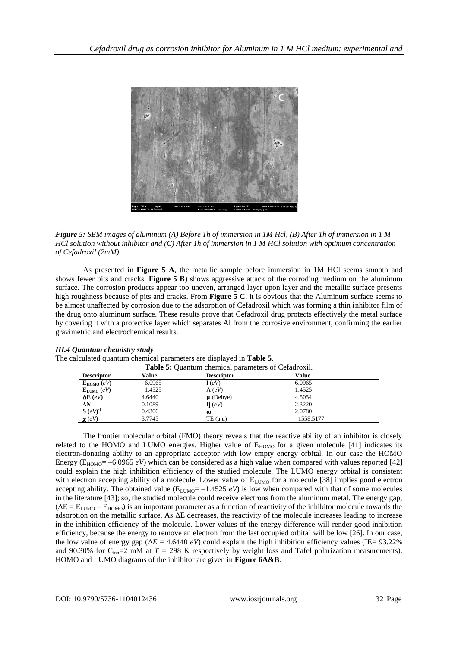

*Figure 5: SEM images of aluminum (A) Before 1h of immersion in 1M Hcl, (B) After 1h of immersion in 1 M HCl solution without inhibitor and (C) After 1h of immersion in 1 M HCl solution with optimum concentration of Cefadroxil (2mM).*

As presented in **Figure 5 A**, the metallic sample before immersion in 1M HCl seems smooth and shows fewer pits and cracks. **Figure 5 B**) shows aggressive attack of the corroding medium on the aluminum surface. The corrosion products appear too uneven, arranged layer upon layer and the metallic surface presents high roughness because of pits and cracks. From **Figure 5 C**, it is obvious that the Aluminum surface seems to be almost unaffected by corrosion due to the adsorption of Cefadroxil which was forming a thin inhibitor film of the drug onto aluminum surface. These results prove that Cefadroxil drug protects effectively the metal surface by covering it with a protective layer which separates Al from the corrosive environment, confirming the earlier gravimetric and electrochemical results.

# *III.4 Quantum chemistry study*

The calculated quantum chemical parameters are displayed in **Table 5**.

| <b>Table 5:</b> Ouantum chemical parameters of Cefadroxil. |           |                   |              |  |  |
|------------------------------------------------------------|-----------|-------------------|--------------|--|--|
| <b>Descriptor</b>                                          | Value     | <b>Descriptor</b> | Value        |  |  |
| $E_{HOMO}$ (eV)                                            | $-6.0965$ | I(eV)             | 6.0965       |  |  |
| $\mathbf{E}_{\text{LUMO}}\left(eV\right)$                  | $-1.4525$ | A(eV)             | 1.4525       |  |  |
| $\Delta E$ (eV)                                            | 4.6440    | $\mu$ (Debye)     | 4.5054       |  |  |
| ΔN                                                         | 0.1089    | $\Pi$ (eV)        | 2.3220       |  |  |
| $S(eV)^{-1}$                                               | 0.4306    | ω                 | 2.0780       |  |  |
| $\chi$ (eV)                                                | 3.7745    | TE(a.u)           | $-1558.5177$ |  |  |

The frontier molecular orbital (FMO) theory reveals that the reactive ability of an inhibitor is closely related to the HOMO and LUMO energies. Higher value of  $E_{HOMO}$  for a given molecule [\[41\]](#page-12-6) indicates its electron-donating ability to an appropriate acceptor with low empty energy orbital. In our case the HOMO Energy ( $E_{HOMO}$ = –6.0965 *eV*) which can be considered as a high value when compared with values reported [\[42\]](#page-12-7) could explain the high inhibition efficiency of the studied molecule. The LUMO energy orbital is consistent with electron accepting ability of a molecule. Lower value of  $E_{LUMO}$  for a molecule [38] implies good electron accepting ability. The obtained value ( $E_{LUMO} = -1.4525 eV$ ) is low when compared with that of some molecules in the literature [\[43\]](#page-12-8); so, the studied molecule could receive electrons from the aluminum metal. The energy gap,  $(\Delta E = E_{LIMO} - E_{HOMO})$  is an important parameter as a function of reactivity of the inhibitor molecule towards the adsorption on the metallic surface. As ΔE decreases, the reactivity of the molecule increases leading to increase in the inhibition efficiency of the molecule. Lower values of the energy difference will render good inhibition efficiency, because the energy to remove an electron from the last occupied orbital will be low [\[26\]](#page-11-22). In our case, the low value of energy gap ( $\Delta E = 4.6440 \text{ eV}$ ) could explain the high inhibition efficiency values (IE= 93.22%) and 90.30% for  $C_{\text{inh}}=2$  mM at  $T = 298$  K respectively by weight loss and Tafel polarization measurements). HOMO and LUMO diagrams of the inhibitor are given in **Figure 6A&B**.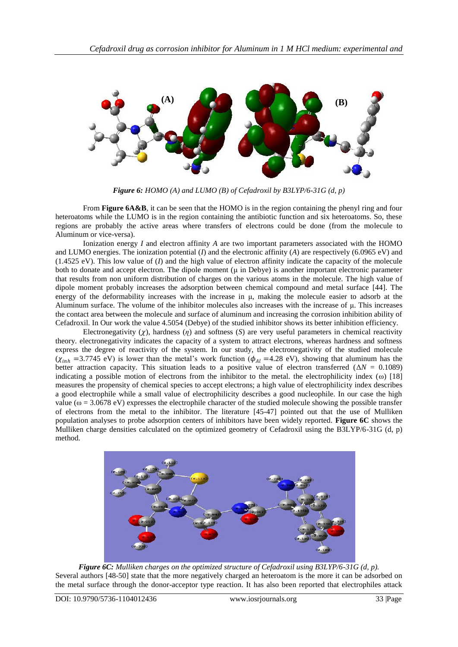

*Figure 6: HOMO (A) and LUMO (B) of Cefadroxil by B3LYP/6-31G (d, p)*

From **Figure 6A&B**, it can be seen that the HOMO is in the region containing the phenyl ring and four heteroatoms while the LUMO is in the region containing the antibiotic function and six heteroatoms. So, these regions are probably the active areas where transfers of electrons could be done (from the molecule to Aluminum or vice-versa).

Ionization energy *I* and electron affinity *A* are two important parameters associated with the HOMO and LUMO energies. The ionization potential (*I*) and the electronic affinity (*A*) are respectively (6.0965 eV) and  $(1.4525 \text{ eV})$ . This low value of  $(I)$  and the high value of electron affinity indicate the capacity of the molecule both to donate and accept electron. The dipole moment (μ in Debye) is another important electronic parameter that results from non uniform distribution of charges on the various atoms in the molecule. The high value of dipole moment probably increases the adsorption between chemical compound and metal surface [\[44\]](#page-12-9). The energy of the deformability increases with the increase in μ, making the molecule easier to adsorb at the Aluminum surface. The volume of the inhibitor molecules also increases with the increase of μ. This increases the contact area between the molecule and surface of aluminum and increasing the corrosion inhibition ability of Cefadroxil. In Our work the value 4.5054 (Debye) of the studied inhibitor shows its better inhibition efficiency.

Electronegativity  $(\gamma)$ , hardness  $(\eta)$  and softness (*S*) are very useful parameters in chemical reactivity theory. electronegativity indicates the capacity of a system to attract electrons, whereas hardness and softness express the degree of reactivity of the system. In our study, the electronegativity of the studied molecule  $(\chi_{inh} = 3.7745 \text{ eV})$  is lower than the metal's work function  $(\phi_{Al} = 4.28 \text{ eV})$ , showing that aluminum has the better attraction capacity. This situation leads to a positive value of electron transferred  $(\Delta N = 0.1089)$ indicating a possible motion of electrons from the inhibitor to the metal. the electrophilicity index (ω) [\[18\]](#page-11-14) measures the propensity of chemical species to accept electrons; a high value of electrophilicity index describes a good electrophile while a small value of electrophilicity describes a good nucleophile. In our case the high value ( $\omega = 3.0678$  eV) expresses the electrophile character of the studied molecule showing the possible transfer of electrons from the metal to the inhibitor. The literature [\[45-47\]](#page-12-10) pointed out that the use of Mulliken population analyses to probe adsorption centers of inhibitors have been widely reported. **Figure 6C** shows the Mulliken charge densities calculated on the optimized geometry of Cefadroxil using the B3LYP/6-31G (d, p) method.



*Figure 6C: Mulliken charges on the optimized structure of Cefadroxil using B3LYP/6-31G (d, p).* Several authors [\[48-50\]](#page-12-11) state that the more negatively charged an heteroatom is the more it can be adsorbed on the metal surface through the donor-acceptor type reaction. It has also been reported that electrophiles attack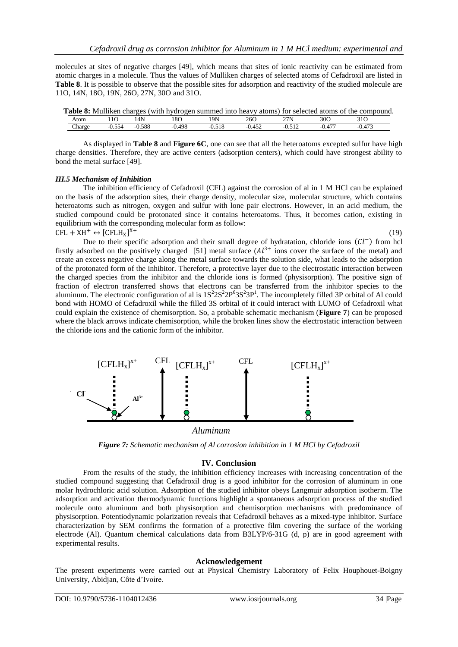molecules at sites of negative charges [\[49\]](#page-12-12), which means that sites of ionic reactivity can be estimated from atomic charges in a molecule. Thus the values of Mulliken charges of selected atoms of Cefadroxil are listed in **Table 8.** It is possible to observe that the possible sites for adsorption and reactivity of the studied molecule are 11O, 14N, 18O, 19N, 26O, 27N, 30O and 31O.

|        |          |          |        |     |       |        | Table 8: Mulliken charges (with hydrogen summed into heavy atoms) for selected atoms of the compound. |
|--------|----------|----------|--------|-----|-------|--------|-------------------------------------------------------------------------------------------------------|
| Atom   |          | 14N      | . 8O   | 19N | 260   | 300    |                                                                                                       |
| Charge | $-0.554$ | $-0.588$ | -0.498 |     | ብ 452 | -0 477 |                                                                                                       |

As displayed in **Table 8** and **Figure 6C**, one can see that all the heteroatoms excepted sulfur have high charge densities. Therefore, they are active centers (adsorption centers), which could have strongest ability to bond the metal surface [\[49\]](#page-12-12).

#### *III.5 Mechanism of Inhibition*

The inhibition efficiency of Cefadroxil (CFL) against the corrosion of al in 1 M HCl can be explained on the basis of the adsorption sites, their charge density, molecular size, molecular structure, which contains heteroatoms such as nitrogen, oxygen and sulfur with lone pair electrons. However, in an acid medium, the studied compound could be protonated since it contains heteroatoms. Thus, it becomes cation, existing in equilibrium with the corresponding molecular form as follow:  $CFL + XH^+ \leftrightarrow [CFLH_X]$  $X_{+}$  (19)

Due to their specific adsorption and their small degree of hydratation, chloride ions  $(Cl^-)$  from hcl firstly adsorbed on the positively charged [\[51\]](#page-12-13) metal surface  $(Al^{3+}$  ions cover the surface of the metal) and create an excess negative charge along the metal surface towards the solution side, what leads to the adsorption of the protonated form of the inhibitor. Therefore, a protective layer due to the electrostatic interaction between the charged species from the inhibitor and the chloride ions is formed (physisorption). The positive sign of fraction of electron transferred shows that electrons can be transferred from the inhibitor species to the aluminum. The electronic configuration of al is  $1S^2 2S^2 2P^6 3S^2 3P^1$ . The incompletely filled 3P orbital of Al could bond with HOMO of Cefadroxil while the filled 3S orbital of it could interact with LUMO of Cefadroxil what could explain the existence of chemisorption. So, a probable schematic mechanism (**Figure 7**) can be proposed where the black arrows indicate chemisorption, while the broken lines show the electrostatic interaction between the chloride ions and the cationic form of the inhibitor.



*Aluminum*

*Figure 7: Schematic mechanism of Al corrosion inhibition in 1 M HCl by Cefadroxil*

#### **IV. Conclusion**

From the results of the study, the inhibition efficiency increases with increasing concentration of the studied compound suggesting that Cefadroxil drug is a good inhibitor for the corrosion of aluminum in one molar hydrochloric acid solution. Adsorption of the studied inhibitor obeys Langmuir adsorption isotherm. The adsorption and activation thermodynamic functions highlight a spontaneous adsorption process of the studied molecule onto aluminum and both physisorption and chemisorption mechanisms with predominance of physisorption. Potentiodynamic polarization reveals that Cefadroxil behaves as a mixed-type inhibitor. Surface characterization by SEM confirms the formation of a protective film covering the surface of the working electrode (Al). Quantum chemical calculations data from B3LYP/6-31G (d, p) are in good agreement with experimental results.

#### **Acknowledgement**

The present experiments were carried out at Physical Chemistry Laboratory of Felix Houphouet-Boigny University, Abidjan, Côte d'Ivoire.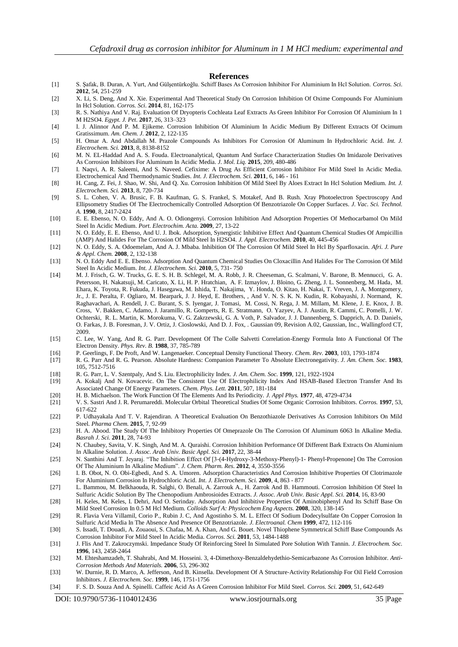#### **References**

- <span id="page-11-0"></span>[1] S. Şafak, B. Duran, A. Yurt, And Gülşentürkoğlu. Schiff Bases As Corrosion Inhibitor For Aluminium In Hcl Solution. *Corros. Sci.*  **2012**, 54, 251-259
- <span id="page-11-1"></span>[2] X. Li, S. Deng, And X. Xie. Experimental And Theoretical Study On Corrosion Inhibition Of Oxime Compounds For Aluminium In Hcl Solution. *Corros. Sci.* **2014**, 81, 162-175
- <span id="page-11-2"></span>[3] R. S. Nathiya And V. Raj. Evaluation Of Dryopteris Cochleata Leaf Extracts As Green Inhibitor For Corrosion Of Aluminium In 1 M H2SO4. *Egypt. J. Pet.* **2017**, 26, 313–323
- <span id="page-11-3"></span>[4] I. J. Alinnor And P. M. Ejikeme. Corrosion Inhibition Of Aluminium In Acidic Medium By Different Extracts Of Ocimum Gratissimum. *Am. Chem. J.* **2012**, 2, 122-135
- <span id="page-11-4"></span>[5] H. Omar A. And Abdallah M. Prazole Compounds As Inhibitors For Corrosion Of Aluminum In Hydrochloric Acid. *Int. J. Electrochem. Sci.* **2013**, 8, 8138-8152
- <span id="page-11-5"></span>[6] M. N. EL-Haddad And A. S. Fouda. Electroanalytical, Quantum And Surface Characterization Studies On Imidazole Derivatives As Corrosion Inhibitors For Aluminum In Acidic Media. *J. Mol. Liq.* **2015**, 209, 480-486
- <span id="page-11-6"></span>[7] I. Naqvi, A. R. Saleemi, And S. Naveed. Cefixime: A Drug As Efficient Corrosion Inhibitor For Mild Steel In Acidic Media. Electrochemical And Thermodynamic Studies. *Int. J. Electrochem. Sci.* **2011**, 6, 146 - 161
- <span id="page-11-7"></span>[8] H. Cang, Z. Fei, J. Shao, W. Shi, And Q. Xu. Corrosion Inhibition Of Mild Steel By Aloes Extract In Hcl Solution Medium. *Int. J. Electrochem. Sci.* **2013**, 8, 720-734
- <span id="page-11-8"></span>[9] S. L. Cohen, V. A. Brusic, F. B. Kaufman, G. S. Frankel, S. Motakef, And B. Rush. Xray Photoelectron Spectroscopy And Ellipsometry Studies Of The Electrochemically Controlled Adsorption Of Benzotriazole On Copper Surfaces. *J. Vac. Sci. Technol. A.* **1990**, 8, 2417-2424
- <span id="page-11-9"></span>[10] E. E. Ebenso, N. O. Eddy, And A. O. Odiongenyi. Corrosion Inhibition And Adsorption Properties Of Methocarbamol On Mild Steel In Acidic Medium. *Port. Electrochim. Acta.* **2009**, 27, 13-22
- [11] N. O. Eddy, E. E. Ebenso, And U. J. Ibok. Adsorption, Synergistic Inhibitive Effect And Quantum Chemical Studies Of Ampicillin (AMP) And Halides For The Corrosion Of Mild Steel In H2SO4. *J. Appl. Electrochem.* **2010**, 40, 445-456
- [12] N. O. Eddy, S. A. Odoemelam, And A. J. Mbaba. Inhibition Of The Corrosion Of Mild Steel In Hcl By Sparfloxacin. *Afri. J. Pure & Appl. Chem.* **2008**, 2, 132-138
- [13] N. O. Eddy And E. E. Ebenso. Adsorption And Quantum Chemical Studies On Cloxacillin And Halides For The Corrosion Of Mild Steel In Acidic Medium. *Int. J. Electrochem. Sci.* **2010**, 5, 731- 750
- <span id="page-11-10"></span>[14] M. J. Frisch, G. W. Trucks, G. E. S. H. B. Schlegel, M. A. Robb, J. R. Cheeseman, G. Scalmani, V. Barone, B. Mennucci, G. A. Petersson, H. Nakatsuji, M. Caricato, X. Li, H. P. Hratchian, A. F. Izmaylov, J. Bloino, G. Zheng, J. L. Sonnenberg, M. Hada, M. Ehara, K. Toyota, R. Fukuda, J. Hasegawa, M. Ishida, T. Nakajima, Y. Honda, O. Kitao, H. Nakai, T. Vreven, J. A. Montgomery, Jr., J. E. Peralta, F. Ogliaro, M. Bearpark, J. J. Heyd, E. Brothers, , And V. N. S. K. N. Kudin, R. Kobayashi, J. Normand, K. Raghavachari, A. Rendell, J. C. Burant, S. S. Iyengar, J. Tomasi, M. Cossi, N. Rega, J. M. Millam, M. Klene, J. E. Knox, J. B. Cross, V. Bakken, C. Adamo, J. Jaramillo, R. Gomperts, R. E. Stratmann, O. Yazyev, A. J. Austin, R. Cammi, C. Pomelli, J. W. Ochterski, R. L. Martin, K. Morokuma, V. G. Zakrzewski, G. A. Voth, P. Salvador, J. J. Dannenberg, S. Dapprich, A. D. Daniels, O. Farkas, J. B. Foresman, J. V. Ortiz, J. Cioslowski, And D. J. Fox, . Gaussian 09, Revision A.02, Gaussian, Inc., Wallingford CT, 2009.
- <span id="page-11-11"></span>[15] C. Lee, W. Yang, And R. G. Parr. Development Of The Colle Salvetti Correlation-Energy Formula Into A Functional Of The Electron Density. *Phys. Rev. B.* **1988**, 37, 785-789
- <span id="page-11-12"></span>[16] P. Geerlings, F. De Proft, And W. Langenaeker. Conceptual Density Functional Theory. *Chem. Rev.* **2003**, 103, 1793-1874
- <span id="page-11-13"></span>[17] R. G. Parr And R. G. Pearson. Absolute Hardness: Companion Parameter To Absolute Electronegativity. *J. Am. Chem. Soc.* **1983**, 105, 7512-7516
- <span id="page-11-15"></span><span id="page-11-14"></span>
- [18] R. G. Parr, L. V. Szentpaly, And S. Liu. Electrophilicity Index. *J. Am. Chem. Soc.* **1999**, 121, 1922-1924 [19] A. Kokalj And N. Kovacevic. On The Consistent Use Of Electrophilicity Index And HSAB-Based Electron Transfer And Its Associated Change Of Energy Parameters. *Chem. Phys. Lett.* **2011**, 507, 181-184
- <span id="page-11-16"></span>[20] H. B. Michaelson. The Work Function Of The Elements And Its Periodicity. *J. Appl Phys.* **1977**, 48, 4729-4734
- <span id="page-11-17"></span>[21] V. S. Sastri And J. R. Perumareddi. Molecular Orbital Theoretical Studies Of Some Organic Corrosion Inhibitors. *Corros.* **1997**, 53, 617-622
- <span id="page-11-18"></span>[22] P. Udhayakala And T. V. Rajendiran. A Theoretical Evaluation On Benzothiazole Derivatives As Corrosion Inhibitors On Mild Steel. *Pharma Chem.* **2015**, 7, 92-99
- <span id="page-11-19"></span>[23] H. A. Abood. The Study Of The Inhibitory Properties Of Omeprazole On The Corrosion Of Aluminum 6063 In Alkaline Media. *Basrah J. Sci.* **2011**, 28, 74-93
- <span id="page-11-20"></span>[24] N. Chaubey, Savita, V. K. Singh, And M. A. Quraishi. Corrosion Inhibition Performance Of Different Bark Extracts On Aluminium In Alkaline Solution. *J. Assoc. Arab Univ. Basic Appl. Sci.* **2017**, 22, 38-44
- <span id="page-11-21"></span>[25] N. Santhini And T. Jeyaraj. "The Inhibition Effect Of [3-(4-Hydroxy-3-Methoxy-Phenyl)-1- Phenyl-Propenone] On The Corrosion Of The Aluminium In Alkaline Medium". *J. Chem. Pharm. Res.* **2012**, 4, 3550-3556
- <span id="page-11-22"></span>[26] I. B. Obot, N. O. Obi-Egbedi, And S. A. Umoren. Adsorption Characteristics And Corrosion Inhibitive Properties Of Clotrimazole For Aluminium Corrosion In Hydrochloric Acid. *Int. J. Electrochem. Sci.* **2009**, 4, 863 - 877
- <span id="page-11-23"></span>[27] L. Bammou, M. Belkhaouda, R. Salghi, O. Benali, A. Zarrouk A., H. Zarrok And B*.* Hammouti*.* Corrosion Inhibition Of Steel In Sulfuric Acidic Solution By The Chenopodium Ambrosioides Extracts. *J. Assoc. Arab Univ. Basic Appl. Sci.* **2014**, 16, 83-90
- <span id="page-11-24"></span>[28] H. Keles, M. Keles, I. Dehri, And O. Serinday. Adsorption And Inhibitive Properties Of Aminobiphenyl And Its Schiff Base On Mild Steel Corrosion In 0.5 M Hcl Medium. *Colloids Surf A: Physicochem Eng Aspects.* **2008**, 320, 138-145
- <span id="page-11-25"></span>[29] R. Flavia Vera Villamil, Corio P., Rubin J. C, And Agostinho S. M. L. Effect Of Sodium Dodecylsulfate On Copper Corrosion In Sulfuric Acid Media In The Absence And Presence Of Benzotriazole. *J. Electroanal. Chem* **1999**, 472, 112-116
- <span id="page-11-26"></span>[30] S. Issadi, T. Douadi, A. Zouaoui, S. Chafaa, M. A. Khan, And G. Bouet. Novel Thiophene Symmetrical Schiff Base Compounds As Corrosion Inhibitor For Mild Steel In Acidic Media. *Corros. Sci.* **2011**, 53, 1484-1488
- [31] J. Flis And T. Zakroczymski. Impedance Study Of Reinforcing Steel In Simulated Pore Solution With Tannin. *J. Electrochem. Soc.*  **1996**, 143, 2458-2464
- [32] M. Ehteshamzadeh, T. Shahrabi, And M. Hosseini. 3, 4-Dimethoxy-Benzaldehydethio-Semicarbazone As Corrosion Inhibitor. *Anti-Corrosion Methods And Materials.* **2006**, 53, 296-302
- <span id="page-11-27"></span>[33] W. Durnie, R. D. Marco, A. Jefferson, And B. Kinsella. Development Of A Structure‐Activity Relationship For Oil Field Corrosion Inhibitors. *J. Electrochem. Soc.* **1999**, 146, 1751-1756
- <span id="page-11-28"></span>[34] F. S. D. Souza And A. Spinelli. Caffeic Acid As A Green Corrosion Inhibitor For Mild Steel. *Corros. Sci.* **2009**, 51, 642-649